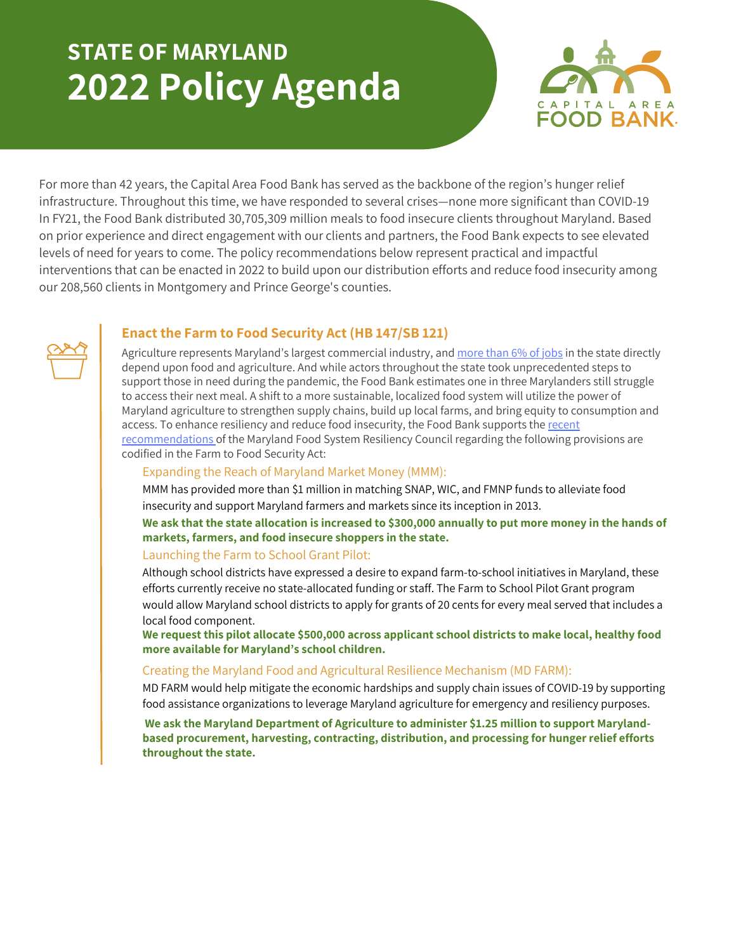# **STATE OF MARYLAND 2022 Policy Agenda**



For more than 42 years, the Capital Area Food Bank has served as the backbone of the region's hunger relief infrastructure. Throughout this time, we have responded to several crises—none more significant than COVID-19 In FY21, the Food Bank distributed 30,705,309 million meals to food insecure clients throughout Maryland. Based on prior experience and direct engagement with our clients and partners, the Food Bank expects to see elevated levels of need for years to come. The policy recommendations below represent practical and impactful interventions that can be enacted in 2022 to build upon our distribution efforts and reduce food insecurity among our 208,560 clients in Montgomery and Prince George's counties.

### **Enact the Farm to Food Security Act (HB 147/SB 121)**

Agriculture represents Maryland's largest commercial industry, and [more](https://www.fb.org/market-intel/feeding-the-economy-agricultural-jobs-by-state) than 6% of jobs in the state directly depend upon food and agriculture. And while actors throughout the state took unprecedented steps to support those in need during the pandemic, the Food Bank estimates one in three Marylanders still struggle to access their next meal. A shift to a more sustainable, localized food system will utilize the power of Maryland agriculture to strengthen supply chains, build up local farms, and bring equity to consumption and access. To enhance resiliency and reduce food insecurity, the Food Bank supports the recent [recommendations](https://mdem.maryland.gov/Documents/MFSR_Council_Interim_Report_MGA_11012021.pdf) of the Maryland Food System Resiliency Council regarding the following provisions are codified in the Farm to Food Security Act:

#### Expanding the Reach of Maryland Market Money (MMM):

MMM has provided more than \$1 million in matching SNAP, WIC, and FMNP funds to alleviate food insecurity and support Maryland farmers and markets since its inception in 2013.

We ask that the state allocation is increased to \$300,000 annually to put more money in the hands of **markets, farmers, and food insecure shoppers in the state.**

#### Launching the Farm to School Grant Pilot:

Although school districts have expressed a desire to expand farm-to-school initiatives in Maryland, these efforts currently receive no state-allocated funding or staff. The Farm to School Pilot Grant program would allow Maryland school districts to apply for grants of 20 cents for every meal served that includes a local food component.

**We request this pilot allocate \$500,000 across applicant school districts to make local, healthy food more available for Maryland's school children.**

#### Creating the Maryland Food and Agricultural Resilience Mechanism (MD FARM):

MD FARM would help mitigate the economic hardships and supply chain issues of COVID-19 by supporting food assistance organizations to leverage Maryland agriculture for emergency and resiliency purposes.

**We ask the Maryland Department of Agriculture to administer \$1.25 million to support Marylandbased procurement, harvesting, contracting, distribution, and processing for hunger relief efforts throughout the state.**